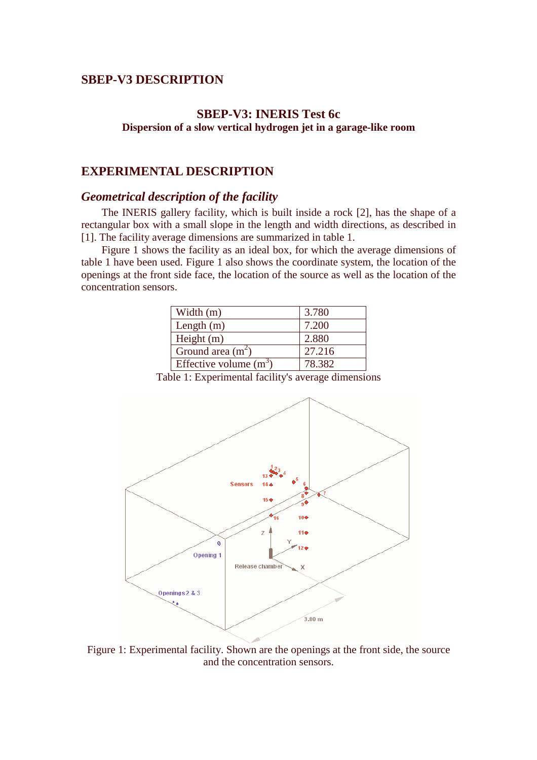## **SBEP-V3 DESCRIPTION**

## **SBEP-V3: INERIS Test 6c Dispersion of a slow vertical hydrogen jet in a garage-like room**

### **EXPERIMENTAL DESCRIPTION**

## *Geometrical description of the facility*

The INERIS gallery facility, which is built inside a rock [2], has the shape of a rectangular box with a small slope in the length and width directions, as described in [1]. The facility average dimensions are summarized in table 1.

Figure 1 shows the facility as an ideal box, for which the average dimensions of table 1 have been used. Figure 1 also shows the coordinate system, the location of the openings at the front side face, the location of the source as well as the location of the concentration sensors.

| Width (m)                | 3.780  |
|--------------------------|--------|
| Length $(m)$             | 7.200  |
| Height $(m)$             | 2.880  |
| Ground area $(m^2)$      | 27.216 |
| Effective volume $(m^3)$ | 78.382 |

Table 1: Experimental facility's average dimensions



Figure 1: Experimental facility. Shown are the openings at the front side, the source and the concentration sensors.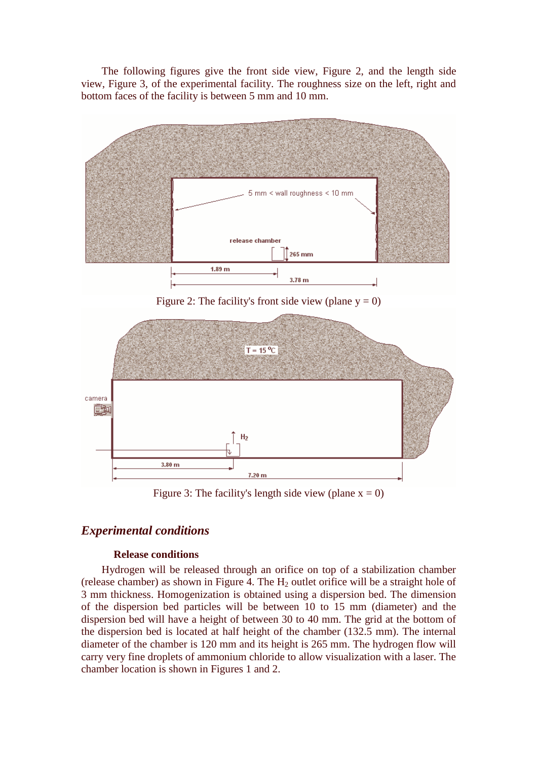The following figures give the front side view, Figure 2, and the length side view, Figure 3, of the experimental facility. The roughness size on the left, right and bottom faces of the facility is between 5 mm and 10 mm.



Figure 2: The facility's front side view (plane  $y = 0$ )



Figure 3: The facility's length side view (plane  $x = 0$ )

## *Experimental conditions*

#### **Release conditions**

Hydrogen will be released through an orifice on top of a stabilization chamber (release chamber) as shown in Figure 4. The  $H_2$  outlet orifice will be a straight hole of 3 mm thickness. Homogenization is obtained using a dispersion bed. The dimension of the dispersion bed particles will be between 10 to 15 mm (diameter) and the dispersion bed will have a height of between 30 to 40 mm. The grid at the bottom of the dispersion bed is located at half height of the chamber (132.5 mm). The internal diameter of the chamber is 120 mm and its height is 265 mm. The hydrogen flow will carry very fine droplets of ammonium chloride to allow visualization with a laser. The chamber location is shown in Figures 1 and 2.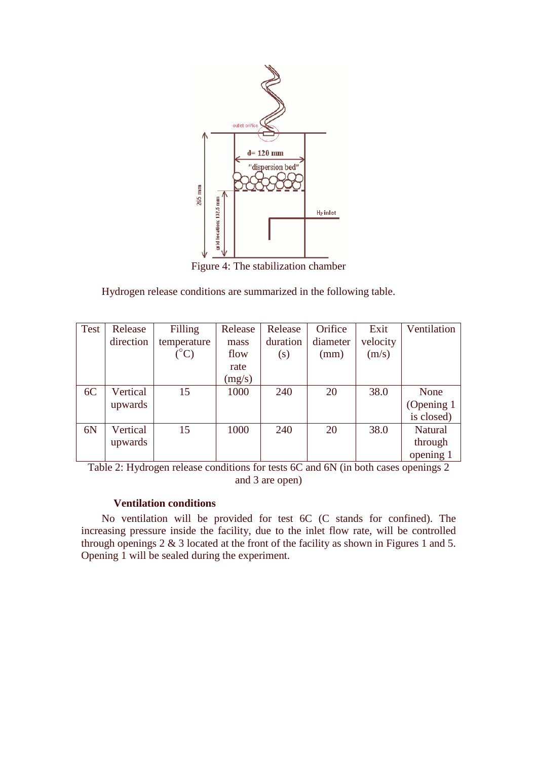

Figure 4: The stabilization chamber

Hydrogen release conditions are summarized in the following table.

| <b>Test</b> | Release   | Filling           | Release | Release  | Orifice  | Exit     | Ventilation    |
|-------------|-----------|-------------------|---------|----------|----------|----------|----------------|
|             | direction | temperature       | mass    | duration | diameter | velocity |                |
|             |           | $\rm ^{\circ} C)$ | flow    | (s)      | (mm)     | (m/s)    |                |
|             |           |                   | rate    |          |          |          |                |
|             |           |                   | (mg/s)  |          |          |          |                |
| 6C          | Vertical  | 15                | 1000    | 240      | 20       | 38.0     | None           |
|             | upwards   |                   |         |          |          |          | (Opening 1)    |
|             |           |                   |         |          |          |          | is closed)     |
| 6N          | Vertical  | 15                | 1000    | 240      | 20       | 38.0     | <b>Natural</b> |
|             | upwards   |                   |         |          |          |          | through        |
|             |           |                   |         |          |          |          | opening 1      |

Table 2: Hydrogen release conditions for tests 6C and 6N (in both cases openings 2 and 3 are open)

### **Ventilation conditions**

No ventilation will be provided for test 6C (C stands for confined). The increasing pressure inside the facility, due to the inlet flow rate, will be controlled through openings 2 & 3 located at the front of the facility as shown in Figures 1 and 5. Opening 1 will be sealed during the experiment.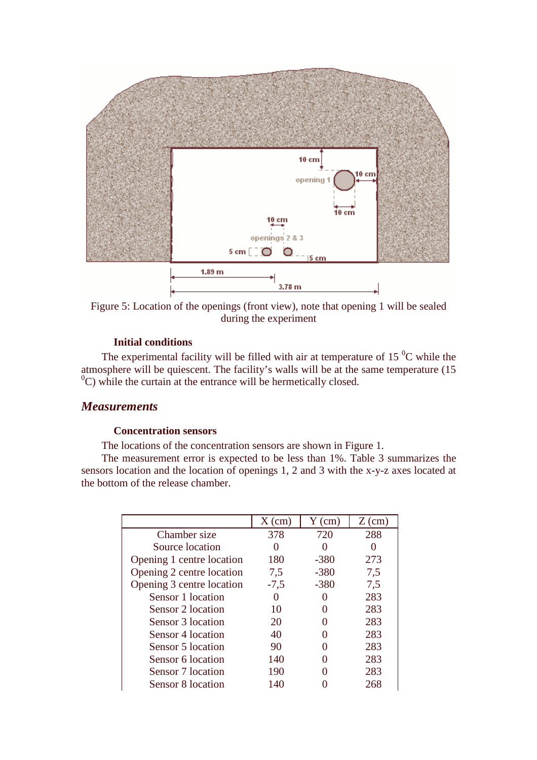

Figure 5: Location of the openings (front view), note that opening 1 will be sealed during the experiment

#### **Initial conditions**

The experimental facility will be filled with air at temperature of  $15 \degree C$  while the atmosphere will be quiescent. The facility's walls will be at the same temperature (15  $^{0}$ C) while the curtain at the entrance will be hermetically closed.

## *Measurements*

#### **Concentration sensors**

The locations of the concentration sensors are shown in Figure 1.

The measurement error is expected to be less than 1%. Table 3 summarizes the sensors location and the location of openings 1, 2 and 3 with the x-y-z axes located at the bottom of the release chamber.

|                           | $X$ (cm) | $Y$ (cm) | $Z$ (cm) |
|---------------------------|----------|----------|----------|
| Chamber size              | 378      | 720      | 288      |
| Source location           |          |          |          |
| Opening 1 centre location | 180      | $-380$   | 273      |
| Opening 2 centre location | 7,5      | $-380$   | 7,5      |
| Opening 3 centre location | $-7,5$   | $-380$   | 7.5      |
| Sensor 1 location         |          |          | 283      |
| Sensor 2 location         | 10       |          | 283      |
| Sensor 3 location         | 20       |          | 283      |
| Sensor 4 location         | 40       |          | 283      |
| Sensor 5 location         | 90       |          | 283      |
| Sensor 6 location         | 140      |          | 283      |
| Sensor 7 location         | 190      |          | 283      |
| Sensor 8 location         | 140      |          | 268      |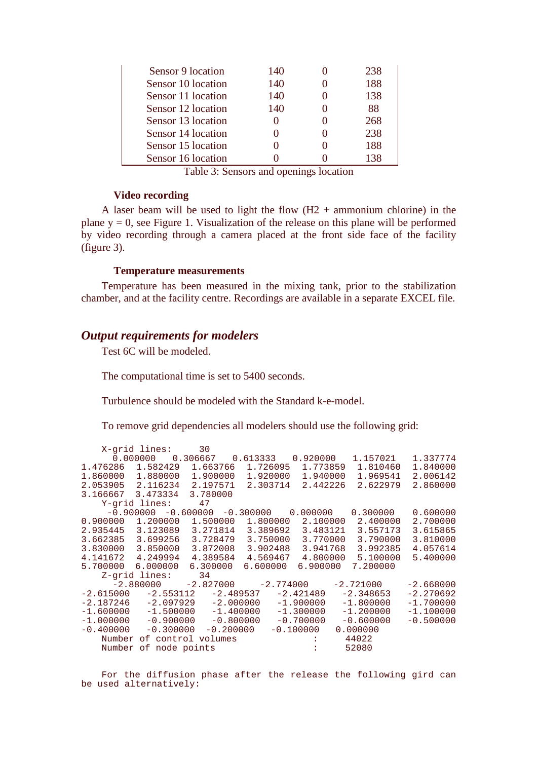| Sensor 9 location  | 140 | 238 |
|--------------------|-----|-----|
| Sensor 10 location | 140 | 188 |
| Sensor 11 location | 140 | 138 |
| Sensor 12 location | 140 | 88  |
| Sensor 13 location |     | 268 |
| Sensor 14 location |     | 238 |
| Sensor 15 location |     | 188 |
| Sensor 16 location |     | 138 |

Table 3: Sensors and openings location

#### **Video recording**

A laser beam will be used to light the flow  $(H2 +$  ammonium chlorine) in the plane  $y = 0$ , see Figure 1. Visualization of the release on this plane will be performed by video recording through a camera placed at the front side face of the facility (figure 3).

#### **Temperature measurements**

Temperature has been measured in the mixing tank, prior to the stabilization chamber, and at the facility centre. Recordings are available in a separate EXCEL file.

### *Output requirements for modelers*

Test 6C will be modeled.

The computational time is set to 5400 seconds.

Turbulence should be modeled with the Standard k-e-model.

To remove grid dependencies all modelers should use the following grid:

|             | X-grid lines:         | 30                                       |             |             |                             |             |             |
|-------------|-----------------------|------------------------------------------|-------------|-------------|-----------------------------|-------------|-------------|
|             | 0.000000000306667     |                                          | 0.613333    |             | 0.920000                    | 1.157021    | 1.337774    |
| 1.476286    | 1.582429              | 1.663766                                 | 1.726095    |             | 1.773859                    | 1.810460    | 1.840000    |
| 1.860000    | 1.880000              | 1,900000                                 | 1.920000    |             | 1.940000                    | 1.969541    | 2.006142    |
| 2.053905    | 2.116234              | 2.197571                                 | 2.303714    |             | 2.442226                    | 2.622979    | 2.860000    |
| 3.166667    | 3.473334              | 3.780000                                 |             |             |                             |             |             |
|             | Y-grid lines:         | 47                                       |             |             |                             |             |             |
|             |                       | $-0.900000 -0.600000 -0.300000 0.000000$ |             |             |                             | 0.300000    | 0.600000    |
| 0.900000    | 1,200000              | 1.500000                                 | 1,800000    |             | 2.100000                    | 2.400000    | 2.700000    |
| 2.935445    | 3.123089              | 3.271814                                 | 3.389692    |             | 3.483121                    | 3.557173    | 3.615865    |
| 3.662385    | 3.699256              | 3.728479                                 | 3.750000    |             | 3.770000                    | 3.790000    | 3.810000    |
| 3.830000    | 3.850000              | 3.872008                                 | 3.902488    |             | 3.941768                    | 3.992385    | 4.057614    |
| 4.141672    | 4.249994              | 4.389584                                 | 4.569467    |             | 4.800000                    | 5.100000    | 5.400000    |
| 5.700000    | 6.000000              | 6.300000                                 | 6.600000    |             | 6.900000                    | 7.200000    |             |
|             | Z-grid lines:         | 34                                       |             |             |                             |             |             |
|             | $-2.880000$           | $-2.827000$ $-2.774000$                  |             |             |                             | $-2.721000$ | $-2.668000$ |
| $-2.615000$ | $-2.553112$           |                                          | $-2.489537$ | $-2.421489$ |                             | $-2.348653$ | $-2.270692$ |
| $-2.187246$ | -2.097929             | $-2.000000$                              |             | $-1.900000$ |                             | $-1.800000$ | $-1.700000$ |
| $-1.600000$ | $-1.500000$           | $-1.400000$                              |             | $-1.300000$ |                             | $-1.200000$ | $-1.100000$ |
| $-1.000000$ | $-0.900000$           | $-0.800000$                              |             | $-0.700000$ |                             | $-0.600000$ | $-0.500000$ |
| $-0.400000$ | $-0.300000$           | $-0.200000$                              |             | $-0.100000$ |                             | 0.000000    |             |
| Number      |                       | of control volumes                       |             |             |                             | 44022       |             |
|             | Number of node points |                                          |             |             | and the control of the con- | 52080       |             |

For the diffusion phase after the release the following gird can be used alternatively: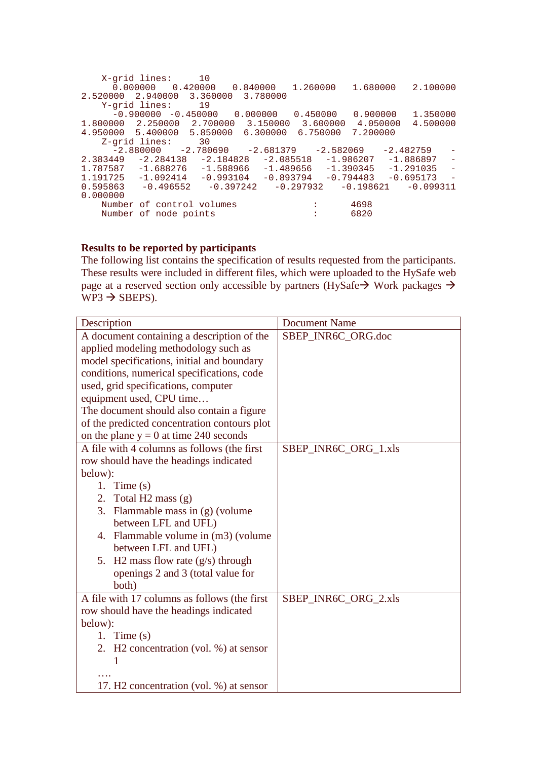```
X-grid lines: 10 
        0.000000 0.420000 0.840000 1.260000 1.680000 2.100000 
2.520000 2.940000 3.360000 3.780000 
     Y-grid lines: 19 
       -0.900000 -0.450000 0.000000 0.450000 0.900000 1.350000
1.800000 2.250000 2.700000 3.150000 3.600000 4.050000 4.500000 
4.950000 5.400000 5.850000 6.300000 6.750000 7.200000 
     Z-grid lines: 30 
       -2.880000 -2.780690 -2.681379 -2.582069 -2.482759<br>+49 -2.284138 -2.184828 -2.085518 -1.986207 -1.8868972.383449 -2.284138 -2.184828 -2.085518 -1.986207 -1.886897 -1.787587 -1.688276 -1.588966 -1.489656 -1.390345 -1.291035 -1.787587 \quad -1.688276 \quad -1.588966 \quad -1.489656 \quad -1.390345 \quad -1.291035 \quad -1.191725 \quad -1.092414 \quad -0.993104 \quad -0.893794 \quad -0.794483 \quad -0.695173 \quad -1.0934796-1.092414 -0.993104<br>-0.496552 -0.3972420.595863 -0.496552 -0.397242 -0.297932 -0.198621 -0.0993110.000000 
    Number of control volumes : 4698<br>Number of node points : 6820
    Number of node points
```
#### **Results to be reported by participants**

The following list contains the specification of results requested from the participants. These results were included in different files, which were uploaded to the HySafe web page at a reserved section only accessible by partners (HySafe  $\rightarrow$  Work packages  $\rightarrow$  $WP3 \rightarrow SBEPS$ ).

| Description                                         | <b>Document Name</b> |
|-----------------------------------------------------|----------------------|
| A document containing a description of the          | SBEP_INR6C_ORG.doc   |
| applied modeling methodology such as                |                      |
| model specifications, initial and boundary          |                      |
| conditions, numerical specifications, code          |                      |
| used, grid specifications, computer                 |                      |
| equipment used, CPU time                            |                      |
| The document should also contain a figure           |                      |
| of the predicted concentration contours plot        |                      |
| on the plane $y = 0$ at time 240 seconds            |                      |
| A file with 4 columns as follows (the first         | SBEP_INR6C_ORG_1.xls |
| row should have the headings indicated              |                      |
| below):                                             |                      |
| 1. Time $(s)$                                       |                      |
| 2. Total H2 mass (g)                                |                      |
| 3. Flammable mass in (g) (volume                    |                      |
| between LFL and UFL)                                |                      |
| 4. Flammable volume in (m3) (volume                 |                      |
| between LFL and UFL)                                |                      |
| 5. H2 mass flow rate $(g/s)$ through                |                      |
| openings 2 and 3 (total value for                   |                      |
| both)                                               |                      |
| A file with 17 columns as follows (the first        | SBEP_INR6C_ORG_2.xls |
| row should have the headings indicated              |                      |
| below):                                             |                      |
| 1. Time $(s)$                                       |                      |
| 2. H2 concentration (vol. %) at sensor              |                      |
| 1                                                   |                      |
|                                                     |                      |
| 17. H <sub>2</sub> concentration (vol. %) at sensor |                      |